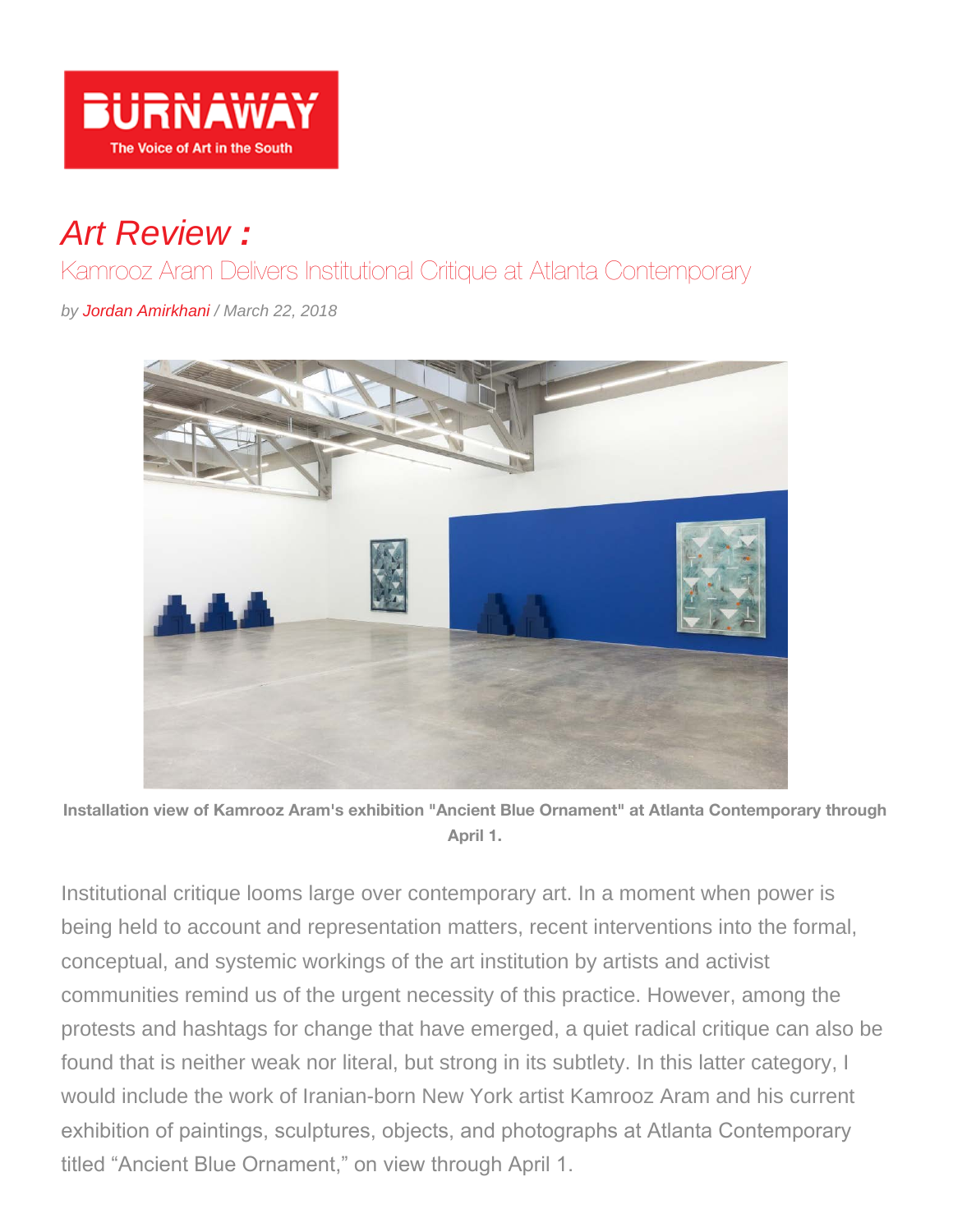

## *Art Review :*

Kamrooz Aram Delivers Institutional Critique at Atlanta Contemporary

*by Jordan Amirkhani / March 22, 2018*



**Installation view of Kamrooz Aram's exhibition "Ancient Blue Ornament" at Atlanta Contemporary through April 1.**

Institutional critique looms large over contemporary art. In a moment when power is being held to account and representation matters, recent interventions into the formal, conceptual, and systemic workings of the art institution by artists and activist communities remind us of the urgent necessity of this practice. However, among the protests and hashtags for change that have emerged, a quiet radical critique can also be found that is neither weak nor literal, but strong in its subtlety. In this latter category, I would include the work of Iranian-born New York artist Kamrooz Aram and his current exhibition of paintings, sculptures, objects, and photographs at Atlanta Contemporary titled "Ancient Blue Ornament," on view through April 1.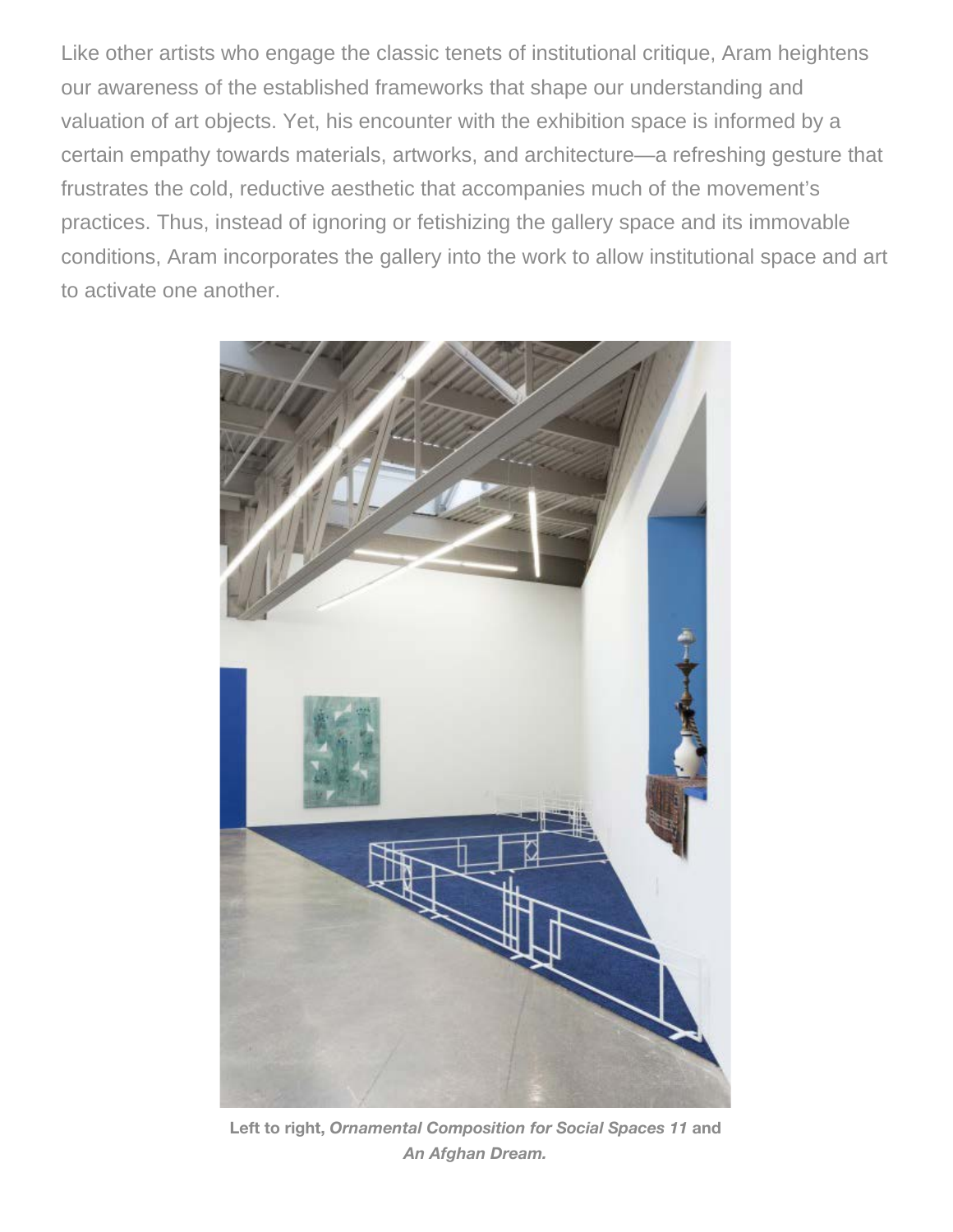Like other artists who engage the classic tenets of institutional critique, Aram heightens our awareness of the established frameworks that shape our understanding and valuation of art objects. Yet, his encounter with the exhibition space is informed by a certain empathy towards materials, artworks, and architecture—a refreshing gesture that frustrates the cold, reductive aesthetic that accompanies much of the movement's practices. Thus, instead of ignoring or fetishizing the gallery space and its immovable conditions, Aram incorporates the gallery into the work to allow institutional space and art to activate one another.



**Left to right,** *Ornamental Composition for Social Spaces 11* **and** *An Afghan Dream.*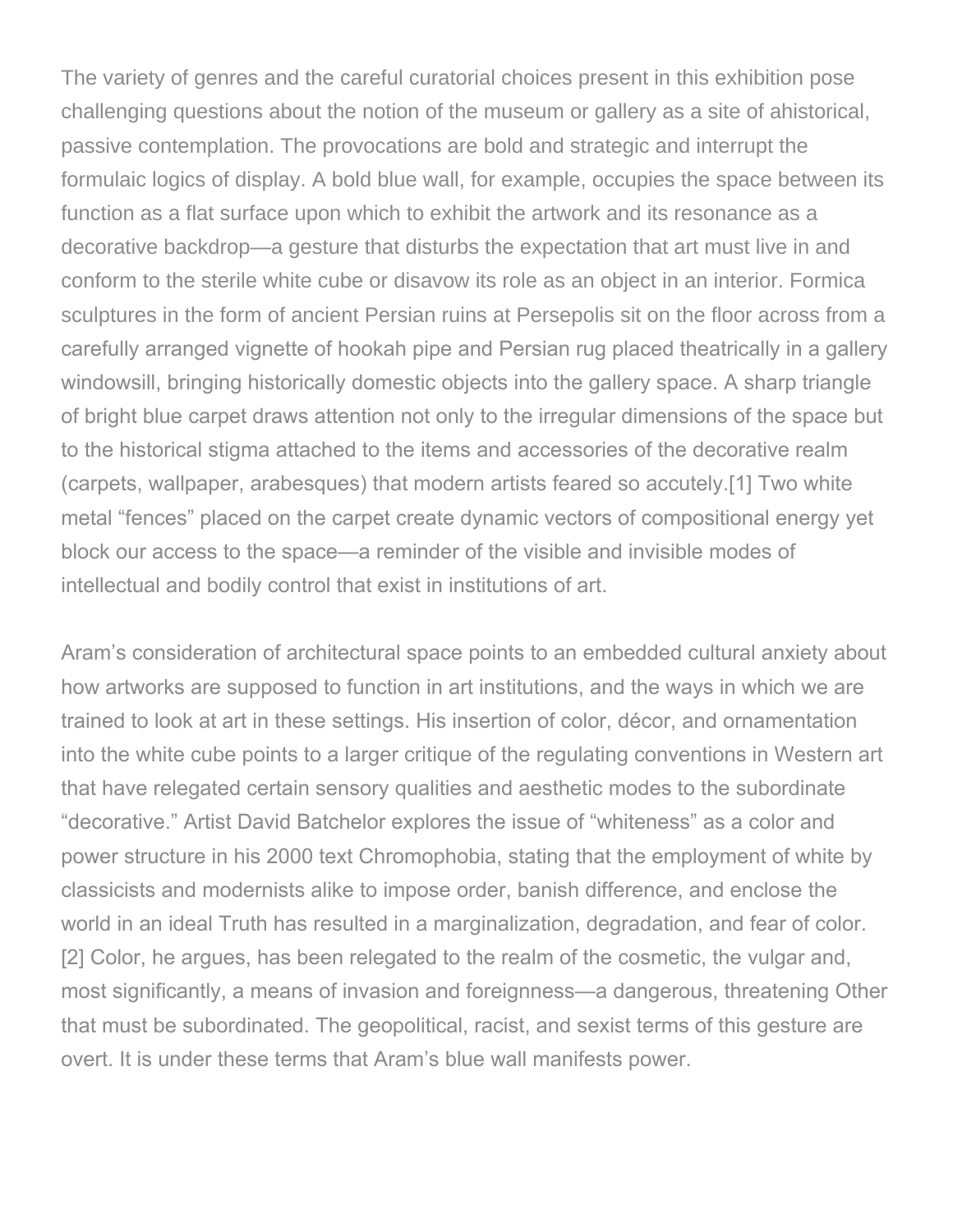The variety of genres and the careful curatorial choices present in this exhibition pose challenging questions about the notion of the museum or gallery as a site of ahistorical, passive contemplation. The provocations are bold and strategic and interrupt the formulaic logics of display. A bold blue wall, for example, occupies the space between its function as a flat surface upon which to exhibit the artwork and its resonance as a decorative backdrop—a gesture that disturbs the expectation that art must live in and conform to the sterile white cube or disavow its role as an object in an interior. Formica sculptures in the form of ancient Persian ruins at Persepolis sit on the floor across from a carefully arranged vignette of hookah pipe and Persian rug placed theatrically in a gallery windowsill, bringing historically domestic objects into the gallery space. A sharp triangle of bright blue carpet draws attention not only to the irregular dimensions of the space but to the historical stigma attached to the items and accessories of the decorative realm (carpets, wallpaper, arabesques) that modern artists feared so accutely.[1] Two white metal "fences" placed on the carpet create dynamic vectors of compositional energy yet block our access to the space—a reminder of the visible and invisible modes of intellectual and bodily control that exist in institutions of art.

Aram's consideration of architectural space points to an embedded cultural anxiety about how artworks are supposed to function in art institutions, and the ways in which we are trained to look at art in these settings. His insertion of color, décor, and ornamentation into the white cube points to a larger critique of the regulating conventions in Western art that have relegated certain sensory qualities and aesthetic modes to the subordinate "decorative." Artist David Batchelor explores the issue of "whiteness" as a color and power structure in his 2000 text Chromophobia, stating that the employment of white by classicists and modernists alike to impose order, banish difference, and enclose the world in an ideal Truth has resulted in a marginalization, degradation, and fear of color. [2] Color, he argues, has been relegated to the realm of the cosmetic, the vulgar and, most significantly, a means of invasion and foreignness—a dangerous, threatening Other that must be subordinated. The geopolitical, racist, and sexist terms of this gesture are overt. It is under these terms that Aram's blue wall manifests power.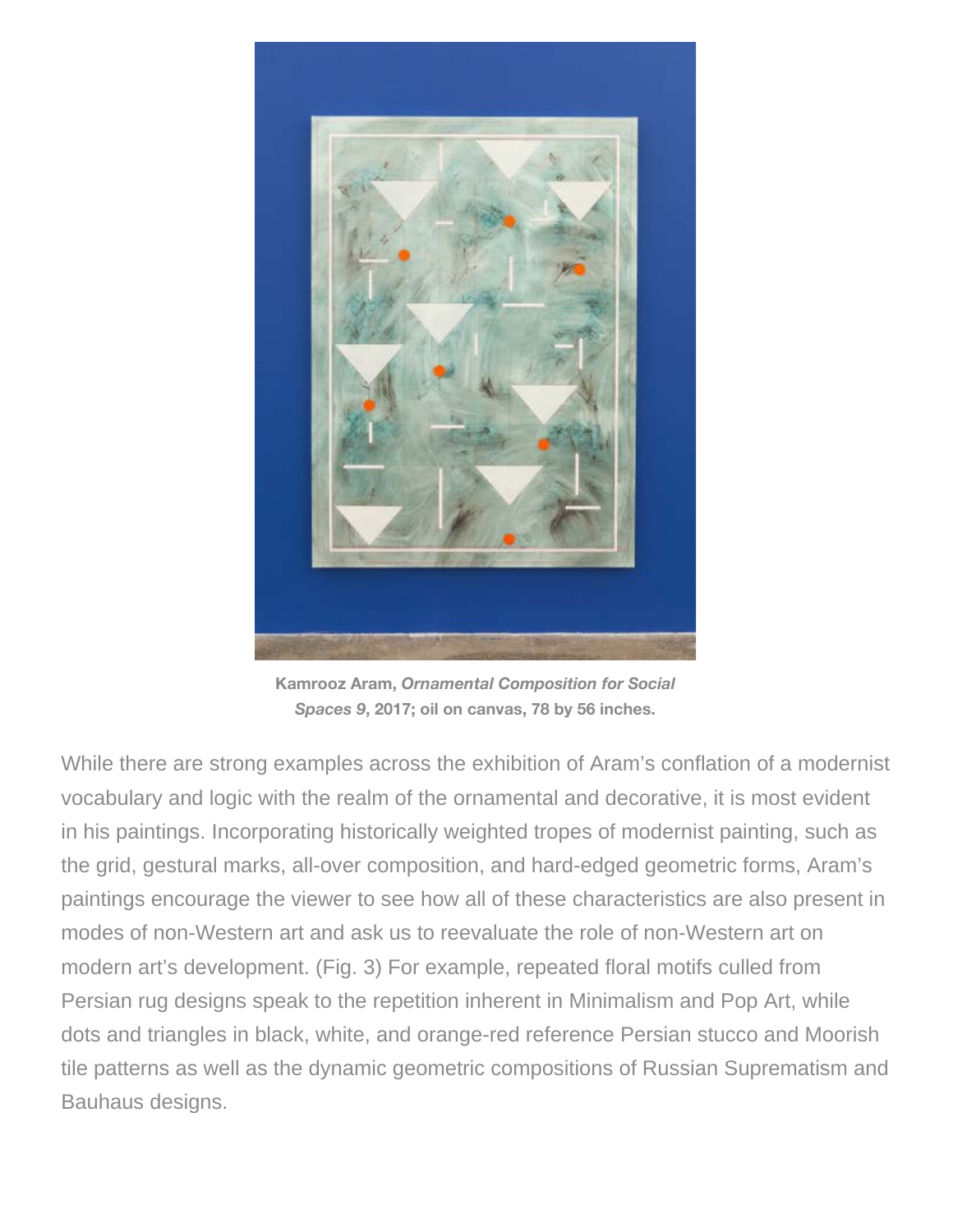

**Kamrooz Aram,** *Ornamental Composition for Social Spaces 9***, 2017; oil on canvas, 78 by 56 inches.**

While there are strong examples across the exhibition of Aram's conflation of a modernist vocabulary and logic with the realm of the ornamental and decorative, it is most evident in his paintings. Incorporating historically weighted tropes of modernist painting, such as the grid, gestural marks, all-over composition, and hard-edged geometric forms, Aram's paintings encourage the viewer to see how all of these characteristics are also present in modes of non-Western art and ask us to reevaluate the role of non-Western art on modern art's development. (Fig. 3) For example, repeated floral motifs culled from Persian rug designs speak to the repetition inherent in Minimalism and Pop Art, while dots and triangles in black, white, and orange-red reference Persian stucco and Moorish tile patterns as well as the dynamic geometric compositions of Russian Suprematism and Bauhaus designs.